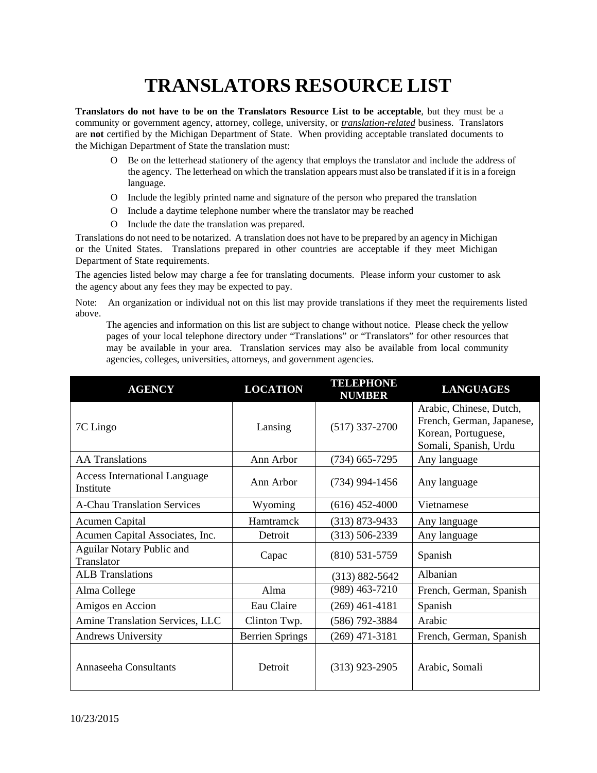## **TRANSLATORS RESOURCE LIST**

**Translators do not have to be on the Translators Resource List to be acceptable**, but they must be a community or government agency, attorney, college, university, or *translation-related* business. Translators are **not** certified by the Michigan Department of State. When providing acceptable translated documents to the Michigan Department of State the translation must:

- O Be on the letterhead stationery of the agency that employs the translator and include the address of the agency. The letterhead on which the translation appears must also be translated if it is in a foreign language.
- O Include the legibly printed name and signature of the person who prepared the translation
- O Include a daytime telephone number where the translator may be reached
- O Include the date the translation was prepared.

Translations do not need to be notarized. A translation does not have to be prepared by an agency in Michigan or the United States. Translations prepared in other countries are acceptable if they meet Michigan Department of State requirements.

The agencies listed below may charge a fee for translating documents. Please inform your customer to ask the agency about any fees they may be expected to pay.

Note: An organization or individual not on this list may provide translations if they meet the requirements listed above.

The agencies and information on this list are subject to change without notice. Please check the yellow pages of your local telephone directory under "Translations" or "Translators" for other resources that may be available in your area. Translation services may also be available from local community agencies, colleges, universities, attorneys, and government agencies.

| <b>AGENCY</b>                                     | <b>LOCATION</b>        | <b>TELEPHONE</b><br><b>NUMBER</b> | <b>LANGUAGES</b>                                                                                     |
|---------------------------------------------------|------------------------|-----------------------------------|------------------------------------------------------------------------------------------------------|
| 7C Lingo                                          | Lansing                | $(517)$ 337-2700                  | Arabic, Chinese, Dutch,<br>French, German, Japanese,<br>Korean, Portuguese,<br>Somali, Spanish, Urdu |
| <b>AA Translations</b>                            | Ann Arbor              | $(734)$ 665-7295                  | Any language                                                                                         |
| <b>Access International Language</b><br>Institute | Ann Arbor              | $(734)$ 994-1456                  | Any language                                                                                         |
| <b>A-Chau Translation Services</b>                | Wyoming                | $(616)$ 452-4000                  | Vietnamese                                                                                           |
| <b>Acumen Capital</b>                             | Hamtramck              | $(313) 873 - 9433$                | Any language                                                                                         |
| Acumen Capital Associates, Inc.                   | Detroit                | $(313) 506 - 2339$                | Any language                                                                                         |
| Aguilar Notary Public and<br>Translator           | Capac                  | $(810)$ 531-5759                  | Spanish                                                                                              |
| <b>ALB</b> Translations                           |                        | $(313) 882 - 5642$                | Albanian                                                                                             |
| Alma College                                      | Alma                   | $(989)$ 463-7210                  | French, German, Spanish                                                                              |
| Amigos en Accion                                  | Eau Claire             | $(269)$ 461-4181                  | Spanish                                                                                              |
| Amine Translation Services, LLC                   | Clinton Twp.           | (586) 792-3884                    | Arabic                                                                                               |
| <b>Andrews University</b>                         | <b>Berrien Springs</b> | $(269)$ 471-3181                  | French, German, Spanish                                                                              |
| Annaseeha Consultants                             | Detroit                | $(313)$ 923-2905                  | Arabic, Somali                                                                                       |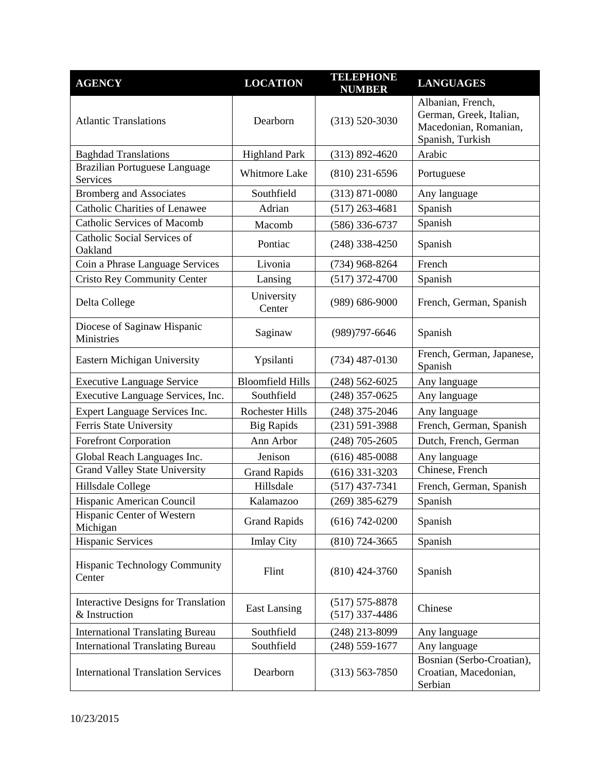| <b>AGENCY</b>                                               | <b>LOCATION</b>         | <b>TELEPHONE</b><br><b>NUMBER</b>      | <b>LANGUAGES</b>                                                                          |
|-------------------------------------------------------------|-------------------------|----------------------------------------|-------------------------------------------------------------------------------------------|
| <b>Atlantic Translations</b>                                | Dearborn                | $(313) 520 - 3030$                     | Albanian, French,<br>German, Greek, Italian,<br>Macedonian, Romanian,<br>Spanish, Turkish |
| <b>Baghdad Translations</b>                                 | <b>Highland Park</b>    | $(313) 892 - 4620$                     | Arabic                                                                                    |
| <b>Brazilian Portuguese Language</b><br>Services            | Whitmore Lake           | $(810)$ 231-6596                       | Portuguese                                                                                |
| <b>Bromberg and Associates</b>                              | Southfield              | $(313) 871 - 0080$                     | Any language                                                                              |
| <b>Catholic Charities of Lenawee</b>                        | Adrian                  | $(517)$ 263-4681                       | Spanish                                                                                   |
| <b>Catholic Services of Macomb</b>                          | Macomb                  | $(586)$ 336-6737                       | Spanish                                                                                   |
| Catholic Social Services of<br>Oakland                      | Pontiac                 | $(248)$ 338-4250                       | Spanish                                                                                   |
| Coin a Phrase Language Services                             | Livonia                 | $(734)$ 968-8264                       | French                                                                                    |
| <b>Cristo Rey Community Center</b>                          | Lansing                 | $(517)$ 372-4700                       | Spanish                                                                                   |
| Delta College                                               | University<br>Center    | $(989) 686 - 9000$                     | French, German, Spanish                                                                   |
| Diocese of Saginaw Hispanic<br>Ministries                   | Saginaw                 | $(989)797 - 6646$                      | Spanish                                                                                   |
| Eastern Michigan University                                 | Ypsilanti               | $(734)$ 487-0130                       | French, German, Japanese,<br>Spanish                                                      |
| <b>Executive Language Service</b>                           | <b>Bloomfield Hills</b> | $(248)$ 562-6025                       | Any language                                                                              |
| Executive Language Services, Inc.                           | Southfield              | $(248)$ 357-0625                       | Any language                                                                              |
| Expert Language Services Inc.                               | <b>Rochester Hills</b>  | (248) 375-2046                         | Any language                                                                              |
| Ferris State University                                     | <b>Big Rapids</b>       | $(231) 591 - 3988$                     | French, German, Spanish                                                                   |
| <b>Forefront Corporation</b>                                | Ann Arbor               | $(248)$ 705-2605                       | Dutch, French, German                                                                     |
| Global Reach Languages Inc.                                 | Jenison                 | $(616)$ 485-0088                       | Any language                                                                              |
| <b>Grand Valley State University</b>                        | <b>Grand Rapids</b>     | $(616)$ 331-3203                       | Chinese, French                                                                           |
| Hillsdale College                                           | Hillsdale               | $(517)$ 437-7341                       | French, German, Spanish                                                                   |
| Hispanic American Council                                   | Kalamazoo               | $(269)$ 385-6279                       | Spanish                                                                                   |
| Hispanic Center of Western<br>Michigan                      | <b>Grand Rapids</b>     | $(616) 742 - 0200$                     | Spanish                                                                                   |
| <b>Hispanic Services</b>                                    | <b>Imlay City</b>       | $(810)$ 724-3665                       | Spanish                                                                                   |
| Hispanic Technology Community<br>Center                     | Flint                   | $(810)$ 424-3760                       | Spanish                                                                                   |
| <b>Interactive Designs for Translation</b><br>& Instruction | <b>East Lansing</b>     | $(517) 575 - 8878$<br>$(517)$ 337-4486 | Chinese                                                                                   |
| <b>International Translating Bureau</b>                     | Southfield              | $(248)$ 213-8099                       | Any language                                                                              |
| <b>International Translating Bureau</b>                     | Southfield              | $(248)$ 559-1677                       | Any language                                                                              |
| <b>International Translation Services</b>                   | Dearborn                | $(313) 563 - 7850$                     | Bosnian (Serbo-Croatian),<br>Croatian, Macedonian,<br>Serbian                             |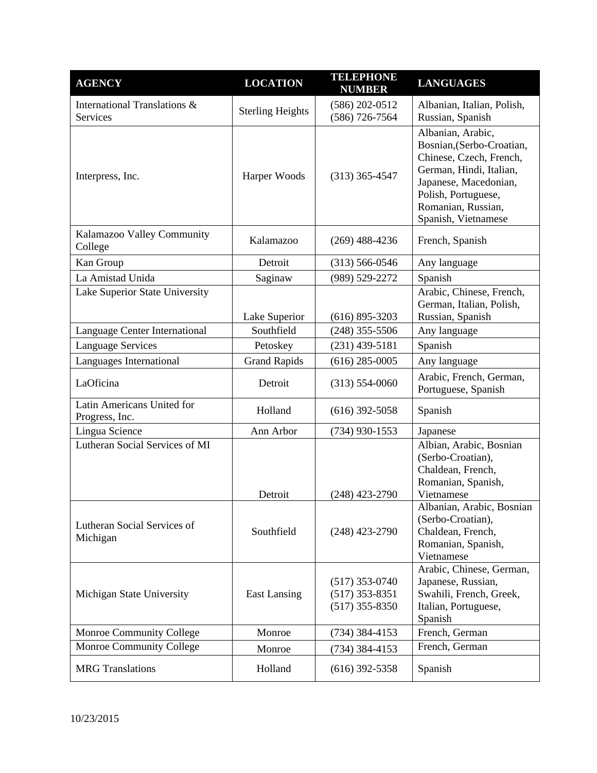| <b>AGENCY</b>                                | <b>LOCATION</b>         | <b>TELEPHONE</b><br><b>NUMBER</b>                        | <b>LANGUAGES</b>                                                                                                                                                                                  |
|----------------------------------------------|-------------------------|----------------------------------------------------------|---------------------------------------------------------------------------------------------------------------------------------------------------------------------------------------------------|
| International Translations &<br>Services     | <b>Sterling Heights</b> | $(586)$ 202-0512<br>$(586)$ 726-7564                     | Albanian, Italian, Polish,<br>Russian, Spanish                                                                                                                                                    |
| Interpress, Inc.                             | Harper Woods            | $(313)$ 365-4547                                         | Albanian, Arabic,<br>Bosnian, (Serbo-Croatian,<br>Chinese, Czech, French,<br>German, Hindi, Italian,<br>Japanese, Macedonian,<br>Polish, Portuguese,<br>Romanian, Russian,<br>Spanish, Vietnamese |
| Kalamazoo Valley Community<br>College        | Kalamazoo               | $(269)$ 488-4236                                         | French, Spanish                                                                                                                                                                                   |
| Kan Group                                    | Detroit                 | $(313) 566 - 0546$                                       | Any language                                                                                                                                                                                      |
| La Amistad Unida                             | Saginaw                 | (989) 529-2272                                           | Spanish                                                                                                                                                                                           |
| Lake Superior State University               | Lake Superior           | $(616) 895 - 3203$                                       | Arabic, Chinese, French,<br>German, Italian, Polish,<br>Russian, Spanish                                                                                                                          |
| Language Center International                | Southfield              | $(248)$ 355-5506                                         | Any language                                                                                                                                                                                      |
| <b>Language Services</b>                     | Petoskey                | $(231)$ 439-5181                                         | Spanish                                                                                                                                                                                           |
| Languages International                      | <b>Grand Rapids</b>     | $(616)$ 285-0005                                         | Any language                                                                                                                                                                                      |
| LaOficina                                    | Detroit                 | $(313) 554 - 0060$                                       | Arabic, French, German,<br>Portuguese, Spanish                                                                                                                                                    |
| Latin Americans United for<br>Progress, Inc. | Holland                 | $(616)$ 392-5058                                         | Spanish                                                                                                                                                                                           |
| Lingua Science                               | Ann Arbor               | $(734)$ 930-1553                                         | Japanese                                                                                                                                                                                          |
| Lutheran Social Services of MI               | Detroit                 | $(248)$ 423-2790                                         | Albian, Arabic, Bosnian<br>(Serbo-Croatian),<br>Chaldean, French,<br>Romanian, Spanish,<br>Vietnamese                                                                                             |
| Lutheran Social Services of<br>Michigan      | Southfield              | $(248)$ 423-2790                                         | Albanian, Arabic, Bosnian<br>(Serbo-Croatian),<br>Chaldean, French,<br>Romanian, Spanish,<br>Vietnamese                                                                                           |
| Michigan State University                    | <b>East Lansing</b>     | $(517)$ 353-0740<br>$(517)$ 353-8351<br>$(517)$ 355-8350 | Arabic, Chinese, German,<br>Japanese, Russian,<br>Swahili, French, Greek,<br>Italian, Portuguese,<br>Spanish                                                                                      |
| Monroe Community College                     | Monroe                  | $(734)$ 384-4153                                         | French, German                                                                                                                                                                                    |
| Monroe Community College                     | Monroe                  | $(734)$ 384-4153                                         | French, German                                                                                                                                                                                    |
| <b>MRG</b> Translations                      | Holland                 | $(616)$ 392-5358                                         | Spanish                                                                                                                                                                                           |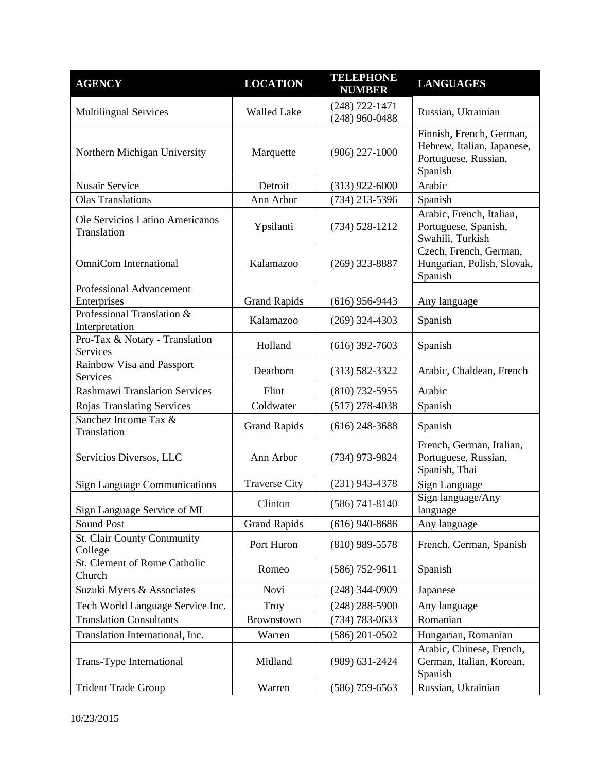| <b>AGENCY</b>                                  | <b>LOCATION</b>      | <b>TELEPHONE</b><br><b>NUMBER</b>      | <b>LANGUAGES</b>                                                                          |
|------------------------------------------------|----------------------|----------------------------------------|-------------------------------------------------------------------------------------------|
| <b>Multilingual Services</b>                   | <b>Walled Lake</b>   | $(248) 722 - 1471$<br>$(248)$ 960-0488 | Russian, Ukrainian                                                                        |
| Northern Michigan University                   | Marquette            | $(906)$ 227-1000                       | Finnish, French, German,<br>Hebrew, Italian, Japanese,<br>Portuguese, Russian,<br>Spanish |
| <b>Nusair Service</b>                          | Detroit              | $(313)$ 922-6000                       | Arabic                                                                                    |
| <b>Olas Translations</b>                       | Ann Arbor            | $(734)$ 213-5396                       | Spanish                                                                                   |
| Ole Servicios Latino Americanos<br>Translation | Ypsilanti            | $(734) 528 - 1212$                     | Arabic, French, Italian,<br>Portuguese, Spanish,<br>Swahili, Turkish                      |
| <b>OmniCom International</b>                   | Kalamazoo            | $(269)$ 323-8887                       | Czech, French, German,<br>Hungarian, Polish, Slovak,<br>Spanish                           |
| <b>Professional Advancement</b><br>Enterprises | <b>Grand Rapids</b>  | $(616)$ 956-9443                       | Any language                                                                              |
| Professional Translation &<br>Interpretation   | Kalamazoo            | $(269)$ 324-4303                       | Spanish                                                                                   |
| Pro-Tax & Notary - Translation<br>Services     | Holland              | $(616)$ 392-7603                       | Spanish                                                                                   |
| Rainbow Visa and Passport<br>Services          | Dearborn             | $(313) 582 - 3322$                     | Arabic, Chaldean, French                                                                  |
| <b>Rashmawi Translation Services</b>           | Flint                | $(810)$ 732-5955                       | Arabic                                                                                    |
| Rojas Translating Services                     | Coldwater            | $(517)$ 278-4038                       | Spanish                                                                                   |
| Sanchez Income Tax &<br>Translation            | <b>Grand Rapids</b>  | $(616)$ 248-3688                       | Spanish                                                                                   |
| Servicios Diversos, LLC                        | Ann Arbor            | $(734)$ 973-9824                       | French, German, Italian,<br>Portuguese, Russian,<br>Spanish, Thai                         |
| <b>Sign Language Communications</b>            | <b>Traverse City</b> | $(231)$ 943-4378                       | Sign Language                                                                             |
| Sign Language Service of MI                    | Clinton              | $(586) 741 - 8140$                     | Sign language/Any<br>language                                                             |
| Sound Post                                     | <b>Grand Rapids</b>  | $(616)$ 940-8686                       | Any language                                                                              |
| <b>St. Clair County Community</b><br>College   | Port Huron           | $(810)$ 989-5578                       | French, German, Spanish                                                                   |
| St. Clement of Rome Catholic<br>Church         | Romeo                | $(586)$ 752-9611                       | Spanish                                                                                   |
| Suzuki Myers & Associates                      | Novi                 | $(248)$ 344-0909                       | Japanese                                                                                  |
| Tech World Language Service Inc.               | <b>Troy</b>          | $(248)$ 288-5900                       | Any language                                                                              |
| <b>Translation Consultants</b>                 | Brownstown           | (734) 783-0633                         | Romanian                                                                                  |
| Translation International, Inc.                | Warren               | $(586)$ 201-0502                       | Hungarian, Romanian                                                                       |
| Trans-Type International                       | Midland              | $(989)$ 631-2424                       | Arabic, Chinese, French,<br>German, Italian, Korean,<br>Spanish                           |
| <b>Trident Trade Group</b>                     | Warren               | $(586)$ 759-6563                       | Russian, Ukrainian                                                                        |